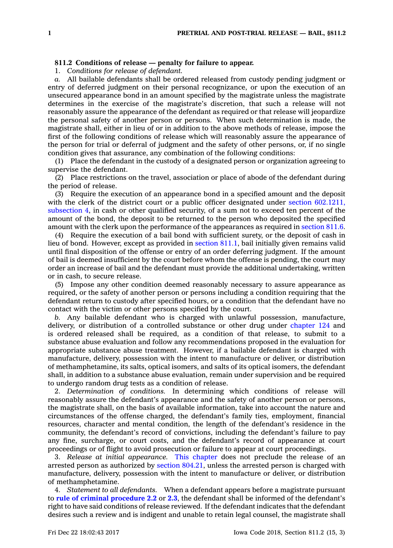## **811.2 Conditions of release — penalty for failure to appear.**

1. *Conditions for release of defendant.*

*a.* All bailable defendants shall be ordered released from custody pending judgment or entry of deferred judgment on their personal recognizance, or upon the execution of an unsecured appearance bond in an amount specified by the magistrate unless the magistrate determines in the exercise of the magistrate's discretion, that such <sup>a</sup> release will not reasonably assure the appearance of the defendant as required or that release will jeopardize the personal safety of another person or persons. When such determination is made, the magistrate shall, either in lieu of or in addition to the above methods of release, impose the first of the following conditions of release which will reasonably assure the appearance of the person for trial or deferral of judgment and the safety of other persons, or, if no single condition gives that assurance, any combination of the following conditions:

(1) Place the defendant in the custody of <sup>a</sup> designated person or organization agreeing to supervise the defendant.

(2) Place restrictions on the travel, association or place of abode of the defendant during the period of release.

(3) Require the execution of an appearance bond in <sup>a</sup> specified amount and the deposit with the clerk of the district court or a public officer designated under section [602.1211,](https://www.legis.iowa.gov/docs/code/602.1211.pdf) [subsection](https://www.legis.iowa.gov/docs/code/602.1211.pdf) 4, in cash or other qualified security, of <sup>a</sup> sum not to exceed ten percent of the amount of the bond, the deposit to be returned to the person who deposited the specified amount with the clerk upon the performance of the appearances as required in [section](https://www.legis.iowa.gov/docs/code/811.6.pdf) 811.6.

(4) Require the execution of <sup>a</sup> bail bond with sufficient surety, or the deposit of cash in lieu of bond. However, except as provided in [section](https://www.legis.iowa.gov/docs/code/811.1.pdf) 811.1, bail initially given remains valid until final disposition of the offense or entry of an order deferring judgment. If the amount of bail is deemed insufficient by the court before whom the offense is pending, the court may order an increase of bail and the defendant must provide the additional undertaking, written or in cash, to secure release.

(5) Impose any other condition deemed reasonably necessary to assure appearance as required, or the safety of another person or persons including <sup>a</sup> condition requiring that the defendant return to custody after specified hours, or <sup>a</sup> condition that the defendant have no contact with the victim or other persons specified by the court.

*b.* Any bailable defendant who is charged with unlawful possession, manufacture, delivery, or distribution of <sup>a</sup> controlled substance or other drug under [chapter](https://www.legis.iowa.gov/docs/code//124.pdf) 124 and is ordered released shall be required, as <sup>a</sup> condition of that release, to submit to <sup>a</sup> substance abuse evaluation and follow any recommendations proposed in the evaluation for appropriate substance abuse treatment. However, if <sup>a</sup> bailable defendant is charged with manufacture, delivery, possession with the intent to manufacture or deliver, or distribution of methamphetamine, its salts, optical isomers, and salts of its optical isomers, the defendant shall, in addition to <sup>a</sup> substance abuse evaluation, remain under supervision and be required to undergo random drug tests as <sup>a</sup> condition of release.

2. *Determination of conditions.* In determining which conditions of release will reasonably assure the defendant's appearance and the safety of another person or persons, the magistrate shall, on the basis of available information, take into account the nature and circumstances of the offense charged, the defendant's family ties, employment, financial resources, character and mental condition, the length of the defendant's residence in the community, the defendant's record of convictions, including the defendant's failure to pay any fine, surcharge, or court costs, and the defendant's record of appearance at court proceedings or of flight to avoid prosecution or failure to appear at court proceedings.

3. *Release at initial appearance.* This [chapter](https://www.legis.iowa.gov/docs/code//811.pdf) does not preclude the release of an arrested person as authorized by section [804.21](https://www.legis.iowa.gov/docs/code/804.21.pdf), unless the arrested person is charged with manufacture, delivery, possession with the intent to manufacture or deliver, or distribution of methamphetamine.

4. *Statement to all defendants.* When <sup>a</sup> defendant appears before <sup>a</sup> magistrate pursuant to **rule of criminal [procedure](https://www.legis.iowa.gov/docs/ACO/CourtRulesChapter/2.pdf) 2.2** or **[2.3](https://www.legis.iowa.gov/docs/ACO/CourtRulesChapter/2.pdf)**, the defendant shall be informed of the defendant's right to have said conditions of release reviewed. If the defendant indicates that the defendant desires such <sup>a</sup> review and is indigent and unable to retain legal counsel, the magistrate shall